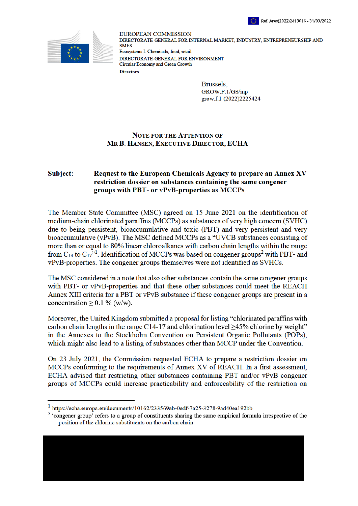



**EUROPEAN COMMISSION** DIRECTORATE-GENERAL FOR INTERNAL MARKET, INDUSTRY, ENTREPRENEURSHIP AND **SMES** Ecosystems I: Chemicals, food, retail DIRECTORATE-GENERAL FOR ENVIRONMENT Circular Economy and Green Growth **Directors** 

> **Brussels** GROW.F.1/GS/mp grow.f.1 (2022)2225424

## **NOTE FOR THE ATTENTION OF** MR B. HANSEN, EXECUTIVE DIRECTOR, ECHA

## Subject: Request to the European Chemicals Agency to prepare an Annex XV restriction dossier on substances containing the same congener groups with PBT- or vPvB-properties as MCCPs

The Member State Committee (MSC) agreed on 15 June 2021 on the identification of medium-chain chlorinated paraffins (MCCPs) as substances of very high concern (SVHC) due to being persistent, bioaccumulative and toxic (PBT) and very persistent and very bioaccumulative (vPvB). The MSC defined MCCPs as a "UVCB substances consisting of more than or equal to 80% linear chloroalkanes with carbon chain lengths within the range from  $C_{14}$  to  $C_{17}$ <sup>"1</sup>. Identification of MCCPs was based on congener groups<sup>2</sup> with PBT- and vPvB-properties. The congener groups themselves were not identified as SVHCs.

The MSC considered in a note that also other substances contain the same congener groups with PBT- or vPvB-properties and that these other substances could meet the REACH Annex XIII criteria for a PBT or vPvB substance if these congener groups are present in a concentration  $\geq$  0.1 % (w/w).

Moreover, the United Kingdom submitted a proposal for listing "chlorinated paraffins with carbon chain lengths in the range C14-17 and chlorination level  $\geq$ 45% chlorine by weight" in the Annexes to the Stockholm Convention on Persistent Organic Pollutants (POPs), which might also lead to a listing of substances other than MCCP under the Convention.

On 23 July 2021, the Commission requested ECHA to prepare a restriction dossier on MCCPs conforming to the requirements of Annex XV of REACH. In a first assessment, ECHA advised that restricting other substances containing PBT and/or vPvB congener groups of MCCPs could increase practicability and enforceability of the restriction on

https://echa.europa.eu/documents/10162/233569ab-0edf-7a25-3278-9ad40ea192bb

<sup>&</sup>lt;sup>2</sup> 'congener group' refers to a group of constituents sharing the same empirical formula irrespective of the position of the chlorine substituents on the carbon chain.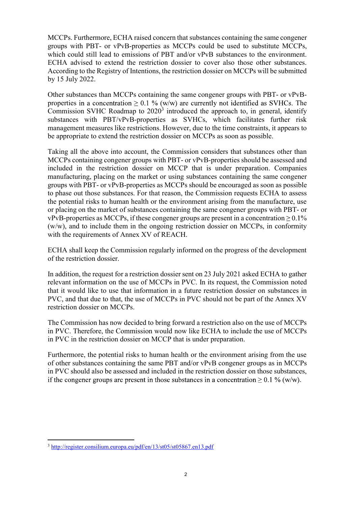MCCPs. Furthermore, ECHA raised concern that substances containing the same congener groups with PBT- or vPvB-properties as MCCPs could be used to substitute MCCPs, which could still lead to emissions of PBT and/or vPvB substances to the environment. ECHA advised to extend the restriction dossier to cover also those other substances. According to the Registry of Intentions, the restriction dossier on MCCPs will be submitted by 15 July 2022.

Other substances than MCCPs containing the same congener groups with PBT- or vPvBproperties in a concentration  $> 0.1$  % (w/w) are currently not identified as SVHCs. The Commission SVHC Roadmap to  $2020<sup>3</sup>$  introduced the approach to, in general, identify substances with PBT/vPvB-properties as SVHCs, which facilitates further risk management measures like restrictions. However, due to the time constraints, it appears to be appropriate to extend the restriction dossier on MCCPs as soon as possible.

Taking all the above into account, the Commission considers that substances other than MCCPs containing congener groups with PBT- or vPvB-properties should be assessed and included in the restriction dossier on MCCP that is under preparation. Companies manufacturing, placing on the market or using substances containing the same congener groups with PBT- or vPvB-properties as MCCPs should be encouraged as soon as possible to phase out those substances. For that reason, the Commission requests ECHA to assess the potential risks to human health or the environment arising from the manufacture, use or placing on the market of substances containing the same congener groups with PBT- or vPvB-properties as MCCPs, if these congener groups are present in a concentration  $\geq 0.1\%$ (w/w), and to include them in the ongoing restriction dossier on MCCPs, in conformity with the requirements of Annex XV of REACH.

ECHA shall keep the Commission regularly informed on the progress of the development of the restriction dossier.

In addition, the request for a restriction dossier sent on 23 July 2021 asked ECHA to gather relevant information on the use of MCCPs in PVC. In its request, the Commission noted that it would like to use that information in a future restriction dossier on substances in PVC, and that due to that, the use of MCCPs in PVC should not be part of the Annex XV restriction dossier on MCCPs.

The Commission has now decided to bring forward a restriction also on the use of MCCPs in PVC. Therefore, the Commission would now like ECHA to include the use of MCCPs in PVC in the restriction dossier on MCCP that is under preparation.

Furthermore, the potential risks to human health or the environment arising from the use of other substances containing the same PBT and/or vPvB congener groups as in MCCPs in PVC should also be assessed and included in the restriction dossier on those substances, if the congener groups are present in those substances in a concentration  $> 0.1$  % (w/w).

 $\overline{a}$ 

<sup>3</sup> http://register.consilium.europa.eu/pdf/en/13/st05/st05867.en13.pdf